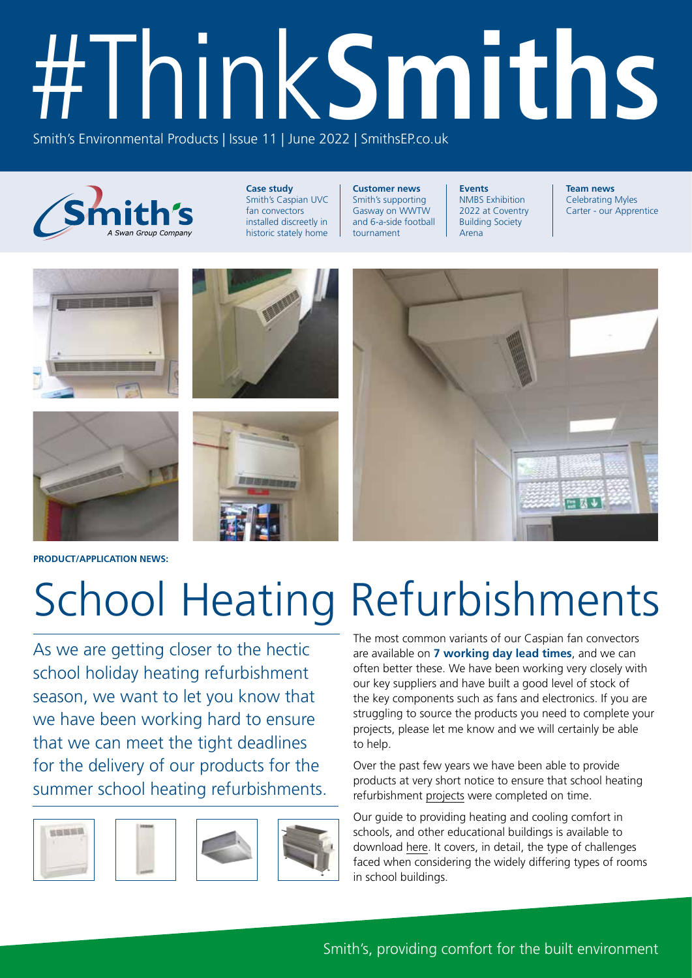# #Think**Smiths** Smith's Environmental Products | Issue 11 | June 2022 | SmithsEP.co.uk



**Case study** Smith's Caspian UVC fan convectors installed discreetly in historic stately home

**Customer news** Smith's supporting Gasway on WWTW and 6-a-side football tournament

**Events** NMBS Exhibition 2022 at Coventry Building Society Arena

**Team news** Celebrating Myles Carter - our Apprentice



**PRODUCT/APPLICATION NEWS:**

# School Heating Refurbishments

As we are getting closer to the hectic school holiday heating refurbishment season, we want to let you know that we have been working hard to ensure that we can meet the tight deadlines for the delivery of our products for the summer school heating refurbishments.









The most common variants of our Caspian fan convectors are available on **7 working day lead times**, and we can often better these. We have been working very closely with our key suppliers and have built a good level of stock of the key components such as fans and electronics. If you are struggling to source the products you need to complete your projects, please let me know and we will certainly be able to help.

Over the past few years we have been able to provide products at very short notice to ensure that school heating refurbishment [projects](https://smithsep.co.uk/wp-content/uploads/Flamstead_school_LR.pdf) were completed on time.

Our guide to providing heating and cooling comfort in schools, and other educational buildings is available to download [here](https://smithsep.co.uk/wp-content/uploads/SMTH_EDUCATION.pdf). It covers, in detail, the type of challenges faced when considering the widely differing types of rooms in school buildings.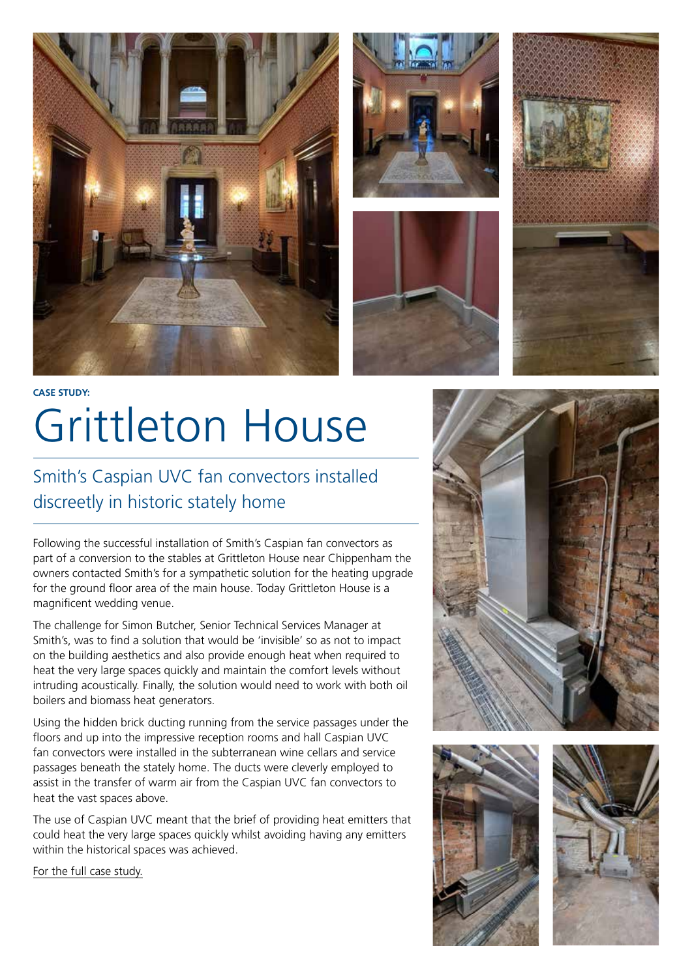







## **CASE STUDY:** Grittleton House

### Smith's Caspian UVC fan convectors installed discreetly in historic stately home

Following the successful installation of Smith's Caspian fan convectors as part of a conversion to the stables at Grittleton House near Chippenham the owners contacted Smith's for a sympathetic solution for the heating upgrade for the ground floor area of the main house. Today Grittleton House is a magnificent wedding venue.

The challenge for Simon Butcher, Senior Technical Services Manager at Smith's, was to find a solution that would be 'invisible' so as not to impact on the building aesthetics and also provide enough heat when required to heat the very large spaces quickly and maintain the comfort levels without intruding acoustically. Finally, the solution would need to work with both oil boilers and biomass heat generators.

Using the hidden brick ducting running from the service passages under the floors and up into the impressive reception rooms and hall Caspian UVC fan convectors were installed in the subterranean wine cellars and service passages beneath the stately home. The ducts were cleverly employed to assist in the transfer of warm air from the Caspian UVC fan convectors to heat the vast spaces above.

The use of Caspian UVC meant that the brief of providing heat emitters that could heat the very large spaces quickly whilst avoiding having any emitters within the historical spaces was achieved.

[For the full case study.](https://smithsep.co.uk/case_studies/caspian-uvc-grittleton-house/)





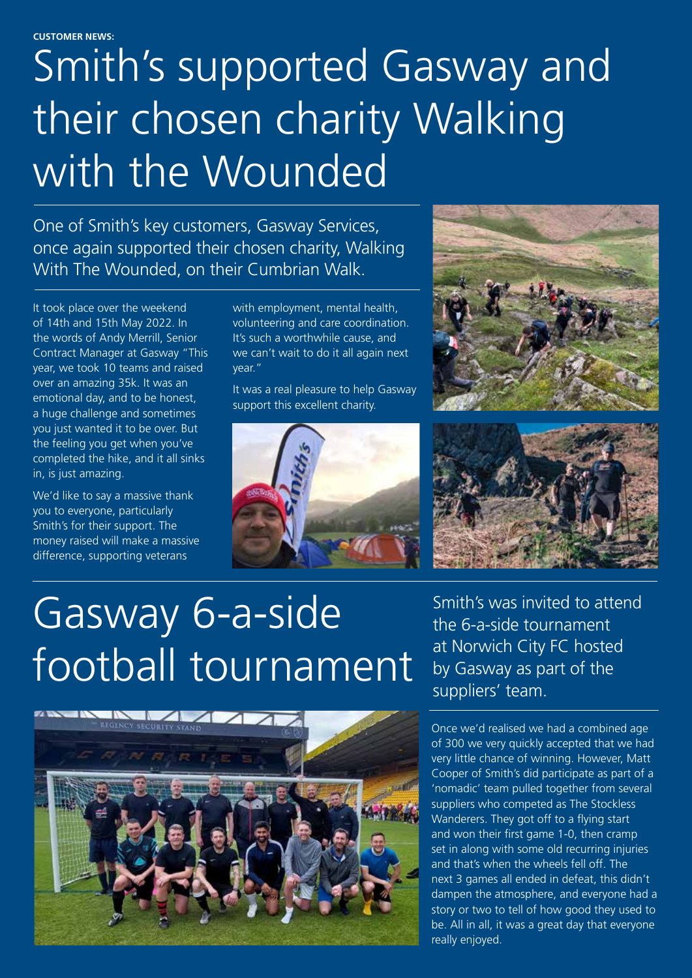**CUSTOMER NEWS:**

## Smith's supported Gasway and their chosen charity Walking with the Wounded

One of Smith's key customers, Gasway Services, once again supported their chosen charity, Walking With The Wounded, on their Cumbrian Walk.

It took place over the weekend of 14th and 15th May 2022. In the words of Andy Merrill, Senior Contract Manager at Gasway "This year, we took 10 teams and raised over an amazing 35k. It was an emotional day, and to be honest, a huge challenge and sometimes you just wanted it to be over. But the feeling you get when you've completed the hike, and it all sinks in, is just amazing.

We'd like to say a massive thank you to everyone, particularly Smith's for their support. The money raised will make a massive difference, supporting veterans

with employment, mental health, volunteering and care coordination. It's such a worthwhile cause, and we can't wait to do it all again next year."

It was a real pleasure to help Gasway support this excellent charity.







## Gasway 6-a-side football tournament



Smith's was invited to attend the 6-a-side tournament at Norwich City FC hosted by Gasway as part of the suppliers' team.

Once we'd realised we had a combined age of 300 we very quickly accepted that we had very little chance of winning. However, Matt Cooper of Smith's did participate as part of a 'nomadic' team pulled together from several suppliers who competed as The Stockless Wanderers. They got off to a flying start and won their first game 1-0, then cramp set in along with some old recurring injuries and that's when the wheels fell off. The next 3 games all ended in defeat, this didn't dampen the atmosphere, and everyone had a story or two to tell of how good they used to be. All in all, it was a great day that everyone really enjoyed.